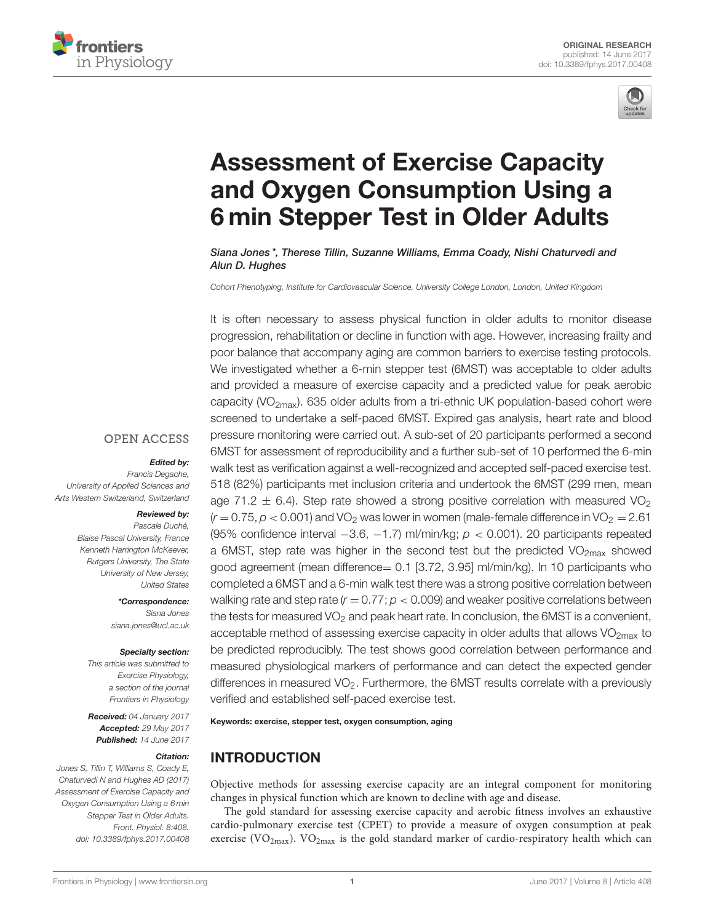



# Assessment of Exercise Capacity [and Oxygen Consumption Using a](http://journal.frontiersin.org/article/10.3389/fphys.2017.00408/abstract) 6 min Stepper Test in Older Adults

[Siana Jones](http://loop.frontiersin.org/people/403896/overview) \*, Therese Tillin, Suzanne Williams, Emma Coady, Nishi Chaturvedi and [Alun D. Hughes](http://loop.frontiersin.org/people/15173/overview)

Cohort Phenotyping, Institute for Cardiovascular Science, University College London, London, United Kingdom

It is often necessary to assess physical function in older adults to monitor disease progression, rehabilitation or decline in function with age. However, increasing frailty and poor balance that accompany aging are common barriers to exercise testing protocols. We investigated whether a 6-min stepper test (6MST) was acceptable to older adults and provided a measure of exercise capacity and a predicted value for peak aerobic capacity (VO<sub>2max</sub>). 635 older adults from a tri-ethnic UK population-based cohort were screened to undertake a self-paced 6MST. Expired gas analysis, heart rate and blood pressure monitoring were carried out. A sub-set of 20 participants performed a second 6MST for assessment of reproducibility and a further sub-set of 10 performed the 6-min walk test as verification against a well-recognized and accepted self-paced exercise test. 518 (82%) participants met inclusion criteria and undertook the 6MST (299 men, mean age 71.2  $\pm$  6.4). Step rate showed a strong positive correlation with measured VO<sub>2</sub>  $(r = 0.75, p < 0.001)$  and VO<sub>2</sub> was lower in women (male-female difference in VO<sub>2</sub> = 2.61) (95% confidence interval  $-3.6$ ,  $-1.7$ ) ml/min/kg;  $p < 0.001$ ). 20 participants repeated a 6MST, step rate was higher in the second test but the predicted  $VO<sub>2max</sub>$  showed good agreement (mean difference= 0.1 [3.72, 3.95] ml/min/kg). In 10 participants who completed a 6MST and a 6-min walk test there was a strong positive correlation between walking rate and step rate ( $r = 0.77$ ;  $p < 0.009$ ) and weaker positive correlations between the tests for measured  $VO<sub>2</sub>$  and peak heart rate. In conclusion, the 6MST is a convenient, acceptable method of assessing exercise capacity in older adults that allows  $VO<sub>2max</sub>$  to be predicted reproducibly. The test shows good correlation between performance and measured physiological markers of performance and can detect the expected gender differences in measured  $VO<sub>2</sub>$ . Furthermore, the 6MST results correlate with a previously verified and established self-paced exercise test.

Keywords: exercise, stepper test, oxygen consumption, aging

## INTRODUCTION

Objective methods for assessing exercise capacity are an integral component for monitoring changes in physical function which are known to decline with age and disease.

The gold standard for assessing exercise capacity and aerobic fitness involves an exhaustive cardio-pulmonary exercise test (CPET) to provide a measure of oxygen consumption at peak exercise (VO<sub>2max</sub>). VO<sub>2max</sub> is the gold standard marker of cardio-respiratory health which can

## **OPEN ACCESS**

#### Edited by:

Francis Degache, University of Applied Sciences and Arts Western Switzerland, Switzerland

#### Reviewed by:

Pascale Duché, Blaise Pascal University, France Kenneth Harrington McKeever, Rutgers University, The State University of New Jersey, United States

> \*Correspondence: Siana Jones [siana.jones@ucl.ac.uk](mailto:siana.jones@ucl.ac.uk)

#### Specialty section:

This article was submitted to Exercise Physiology, a section of the journal Frontiers in Physiology

Received: 04 January 2017 Accepted: 29 May 2017 Published: 14 June 2017

#### Citation:

Jones S, Tillin T, Williams S, Coady E, Chaturvedi N and Hughes AD (2017) Assessment of Exercise Capacity and Oxygen Consumption Using a 6 min Stepper Test in Older Adults. Front. Physiol. 8:408. doi: [10.3389/fphys.2017.00408](https://doi.org/10.3389/fphys.2017.00408)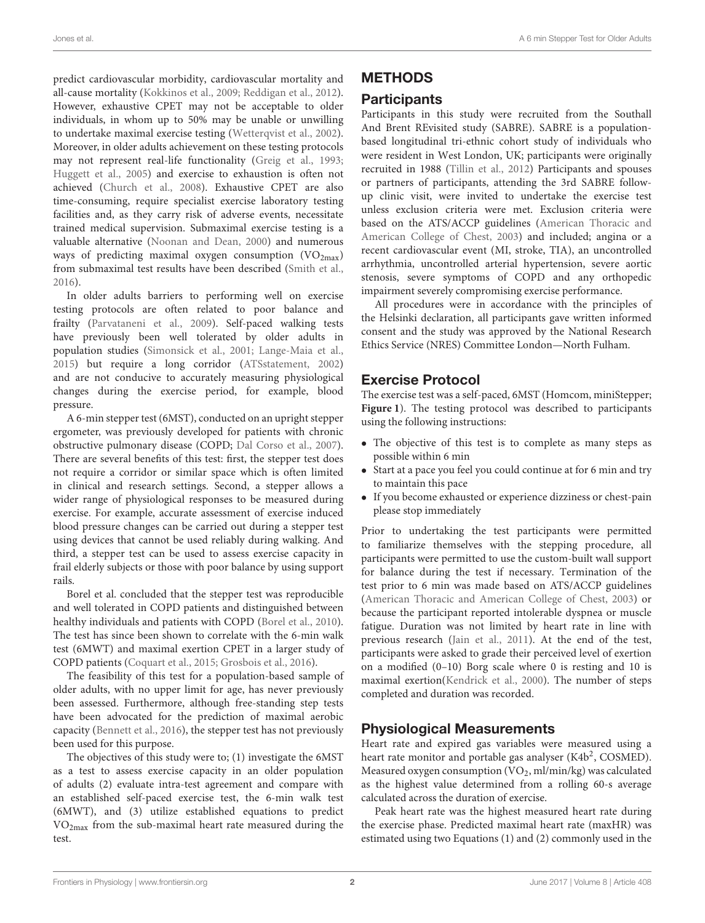predict cardiovascular morbidity, cardiovascular mortality and all-cause mortality [\(Kokkinos et al., 2009;](#page-6-0) [Reddigan et al., 2012\)](#page-6-1). However, exhaustive CPET may not be acceptable to older individuals, in whom up to 50% may be unable or unwilling to undertake maximal exercise testing [\(Wetterqvist et al., 2002\)](#page-6-2). Moreover, in older adults achievement on these testing protocols may not represent real-life functionality [\(Greig et al., 1993;](#page-6-3) [Huggett et al., 2005\)](#page-6-4) and exercise to exhaustion is often not achieved [\(Church et al., 2008\)](#page-6-5). Exhaustive CPET are also time-consuming, require specialist exercise laboratory testing facilities and, as they carry risk of adverse events, necessitate trained medical supervision. Submaximal exercise testing is a valuable alternative [\(Noonan and Dean, 2000\)](#page-6-6) and numerous ways of predicting maximal oxygen consumption  $(VO_{2max})$ from submaximal test results have been described [\(Smith et al.,](#page-6-7) [2016\)](#page-6-7).

In older adults barriers to performing well on exercise testing protocols are often related to poor balance and frailty [\(Parvataneni et al., 2009\)](#page-6-8). Self-paced walking tests have previously been well tolerated by older adults in population studies [\(Simonsick et al., 2001;](#page-6-9) [Lange-Maia et al.,](#page-6-10) [2015\)](#page-6-10) but require a long corridor [\(ATSstatement, 2002\)](#page-5-0) and are not conducive to accurately measuring physiological changes during the exercise period, for example, blood pressure.

A 6-min stepper test (6MST), conducted on an upright stepper ergometer, was previously developed for patients with chronic obstructive pulmonary disease (COPD; [Dal Corso et al., 2007\)](#page-6-11). There are several benefits of this test: first, the stepper test does not require a corridor or similar space which is often limited in clinical and research settings. Second, a stepper allows a wider range of physiological responses to be measured during exercise. For example, accurate assessment of exercise induced blood pressure changes can be carried out during a stepper test using devices that cannot be used reliably during walking. And third, a stepper test can be used to assess exercise capacity in frail elderly subjects or those with poor balance by using support rails.

Borel et al. concluded that the stepper test was reproducible and well tolerated in COPD patients and distinguished between healthy individuals and patients with COPD [\(Borel et al., 2010\)](#page-6-12). The test has since been shown to correlate with the 6-min walk test (6MWT) and maximal exertion CPET in a larger study of COPD patients [\(Coquart et al., 2015;](#page-6-13) [Grosbois et al., 2016\)](#page-6-14).

The feasibility of this test for a population-based sample of older adults, with no upper limit for age, has never previously been assessed. Furthermore, although free-standing step tests have been advocated for the prediction of maximal aerobic capacity [\(Bennett et al., 2016\)](#page-6-15), the stepper test has not previously been used for this purpose.

The objectives of this study were to; (1) investigate the 6MST as a test to assess exercise capacity in an older population of adults (2) evaluate intra-test agreement and compare with an established self-paced exercise test, the 6-min walk test (6MWT), and (3) utilize established equations to predict VO2max from the sub-maximal heart rate measured during the test.

# METHODS

## **Participants**

Participants in this study were recruited from the Southall And Brent REvisited study (SABRE). SABRE is a populationbased longitudinal tri-ethnic cohort study of individuals who were resident in West London, UK; participants were originally recruited in 1988 [\(Tillin et al., 2012\)](#page-6-16) Participants and spouses or partners of participants, attending the 3rd SABRE followup clinic visit, were invited to undertake the exercise test unless exclusion criteria were met. Exclusion criteria were based on the ATS/ACCP guidelines (American Thoracic and American College of Chest, [2003\)](#page-5-1) and included; angina or a recent cardiovascular event (MI, stroke, TIA), an uncontrolled arrhythmia, uncontrolled arterial hypertension, severe aortic stenosis, severe symptoms of COPD and any orthopedic impairment severely compromising exercise performance.

All procedures were in accordance with the principles of the Helsinki declaration, all participants gave written informed consent and the study was approved by the National Research Ethics Service (NRES) Committee London—North Fulham.

## Exercise Protocol

The exercise test was a self-paced, 6MST (Homcom, miniStepper; **[Figure 1](#page-2-0)**). The testing protocol was described to participants using the following instructions:

- The objective of this test is to complete as many steps as possible within 6 min
- Start at a pace you feel you could continue at for 6 min and try to maintain this pace
- If you become exhausted or experience dizziness or chest-pain please stop immediately

Prior to undertaking the test participants were permitted to familiarize themselves with the stepping procedure, all participants were permitted to use the custom-built wall support for balance during the test if necessary. Termination of the test prior to 6 min was made based on ATS/ACCP guidelines [\(American Thoracic and American College of Chest, 2003\)](#page-5-1) or because the participant reported intolerable dyspnea or muscle fatigue. Duration was not limited by heart rate in line with previous research [\(Jain et al., 2011\)](#page-6-17). At the end of the test, participants were asked to grade their perceived level of exertion on a modified (0–10) Borg scale where 0 is resting and 10 is maximal exertion[\(Kendrick et al., 2000\)](#page-6-18). The number of steps completed and duration was recorded.

# Physiological Measurements

Heart rate and expired gas variables were measured using a heart rate monitor and portable gas analyser (K4b<sup>2</sup>, COSMED). Measured oxygen consumption (VO<sub>2</sub>, ml/min/kg) was calculated as the highest value determined from a rolling 60-s average calculated across the duration of exercise.

Peak heart rate was the highest measured heart rate during the exercise phase. Predicted maximal heart rate (maxHR) was estimated using two Equations (1) and (2) commonly used in the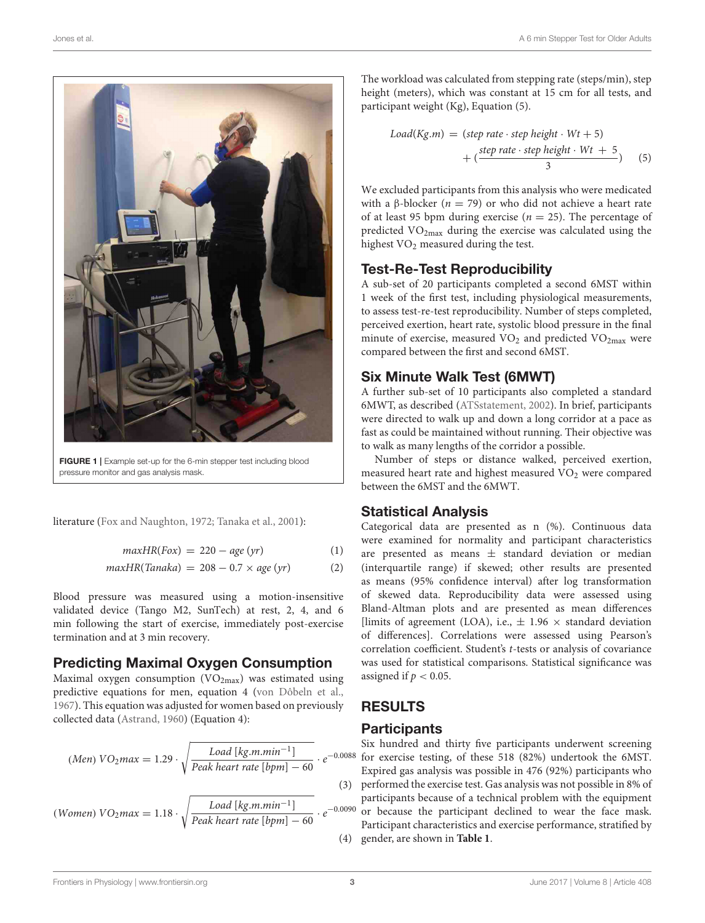

FIGURE 1 | Example set-up for the 6-min stepper test including blood pressure monitor and gas analysis mask.

<span id="page-2-0"></span>literature [\(Fox and Naughton, 1972;](#page-6-19) [Tanaka et al., 2001\)](#page-6-20):

$$
maxHR(Fox) = 220 - age(yr)
$$
 (1)

$$
maxHR(Tanaka) = 208 - 0.7 \times age (yr)
$$
 (2)

Blood pressure was measured using a motion-insensitive validated device (Tango M2, SunTech) at rest, 2, 4, and 6 min following the start of exercise, immediately post-exercise termination and at 3 min recovery.

## Predicting Maximal Oxygen Consumption

Maximal oxygen consumption  $(VO<sub>2max</sub>)$  was estimated using predictive equations for men, equation 4 [\(von Dôbeln et al.,](#page-6-21) [1967\)](#page-6-21). This equation was adjusted for women based on previously collected data [\(Astrand, 1960\)](#page-5-2) (Equation 4):

$$
(Men) \ VO2 max = 1.29 \cdot \sqrt{\frac{Load \ [kg.m.min^{-1}]}{Peak \ heart \ rate \ [bpm] - 60}} \cdot e^{-0.0088}
$$

(*Women*) 
$$
VO_2max = 1.18 \cdot \sqrt{\frac{Load \, \text{[kg.m.min}^{-1}]}{Peak \, \text{heart rate} \, \text{[bpm]} - 60}} \cdot e^{-0.005}
$$

The workload was calculated from stepping rate (steps/min), step height (meters), which was constant at 15 cm for all tests, and participant weight (Kg), Equation (5).

$$
Load(Kg.m) = (step rate \cdot step height \cdot Wt + 5)
$$

$$
+ (\frac{step rate \cdot step height \cdot Wt + 5}{3})
$$
(5)

We excluded participants from this analysis who were medicated with a β-blocker ( $n = 79$ ) or who did not achieve a heart rate of at least 95 bpm during exercise ( $n = 25$ ). The percentage of predicted VO2max during the exercise was calculated using the highest VO<sub>2</sub> measured during the test.

## Test-Re-Test Reproducibility

A sub-set of 20 participants completed a second 6MST within 1 week of the first test, including physiological measurements, to assess test-re-test reproducibility. Number of steps completed, perceived exertion, heart rate, systolic blood pressure in the final minute of exercise, measured  $VO<sub>2</sub>$  and predicted  $VO<sub>2max</sub>$  were compared between the first and second 6MST.

## Six Minute Walk Test (6MWT)

A further sub-set of 10 participants also completed a standard 6MWT, as described [\(ATSstatement, 2002\)](#page-5-0). In brief, participants were directed to walk up and down a long corridor at a pace as fast as could be maintained without running. Their objective was to walk as many lengths of the corridor a possible.

Number of steps or distance walked, perceived exertion, measured heart rate and highest measured  $VO<sub>2</sub>$  were compared between the 6MST and the 6MWT.

## Statistical Analysis

Categorical data are presented as n (%). Continuous data were examined for normality and participant characteristics are presented as means  $\pm$  standard deviation or median (interquartile range) if skewed; other results are presented as means (95% confidence interval) after log transformation of skewed data. Reproducibility data were assessed using Bland-Altman plots and are presented as mean differences [limits of agreement (LOA), i.e.,  $\pm$  1.96  $\times$  standard deviation of differences]. Correlations were assessed using Pearson's correlation coefficient. Student's t-tests or analysis of covariance was used for statistical comparisons. Statistical significance was assigned if  $p < 0.05$ .

# RESULTS

## **Participants**

−0.0088 for exercise testing, of these 518 (82%) undertook the 6MST. (3) performed the exercise test. Gas analysis was not possible in 8% of −0.0090 or because the participant declined to wear the face mask. (4) gender, are shown in **[Table 1](#page-3-0)**. Six hundred and thirty five participants underwent screening Expired gas analysis was possible in 476 (92%) participants who participants because of a technical problem with the equipment Participant characteristics and exercise performance, stratified by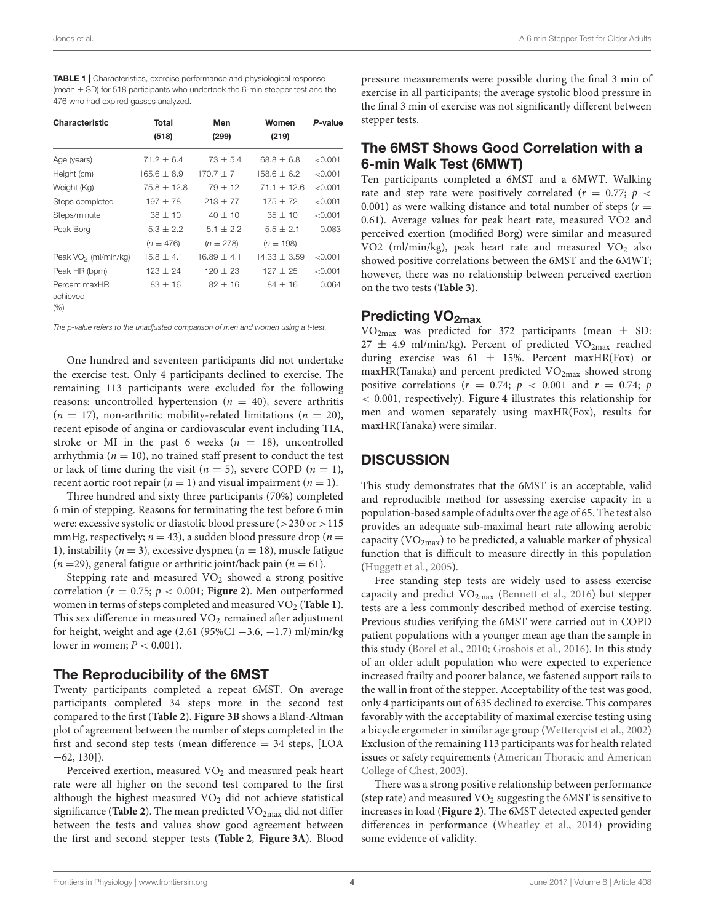<span id="page-3-0"></span>

| <b>TABLE 1</b>   Characteristics, exercise performance and physiological response |
|-----------------------------------------------------------------------------------|
| (mean $\pm$ SD) for 518 participants who undertook the 6-min stepper test and the |
| 476 who had expired gasses analyzed.                                              |

| Characteristic                   | Total<br>(518)  | Men<br>(299)    | Women<br>(219) | P-value |
|----------------------------------|-----------------|-----------------|----------------|---------|
| Age (years)                      | $71.2 + 6.4$    | $73 + 5.4$      | $68.8 + 6.8$   | < 0.001 |
| Height (cm)                      | $165.6 \pm 8.9$ | $170.7 + 7$     | $158.6 + 6.2$  | < 0.001 |
| Weight (Kg)                      | $75.8 + 12.8$   | $79 + 12$       | $71.1 + 12.6$  | < 0.001 |
| Steps completed                  | $197 \pm 78$    | $213 \pm 77$    | $175 + 72$     | < 0.001 |
| Steps/minute                     | $38 \pm 10$     | $40 \pm 10$     | $35 \pm 10$    | < 0.001 |
| Peak Borg                        | $5.3 \pm 2.2$   | $5.1 \pm 2.2$   | $5.5 \pm 2.1$  | 0.083   |
|                                  | $(n = 476)$     | $(n = 278)$     | $(n = 198)$    |         |
| Peak VO <sub>2</sub> (ml/min/kg) | $15.8 \pm 4.1$  | $16.89 \pm 4.1$ | $14.33 + 3.59$ | < 0.001 |
| Peak HR (bpm)                    | $123 + 24$      | $120 + 23$      | $127 + 25$     | < 0.001 |
| Percent maxHR<br>achieved<br>(%) | $83 \pm 16$     | $82 + 16$       | $84 + 16$      | 0.064   |

The p-value refers to the unadjusted comparison of men and women using a t-test.

One hundred and seventeen participants did not undertake the exercise test. Only 4 participants declined to exercise. The remaining 113 participants were excluded for the following reasons: uncontrolled hypertension ( $n = 40$ ), severe arthritis  $(n = 17)$ , non-arthritic mobility-related limitations  $(n = 20)$ , recent episode of angina or cardiovascular event including TIA, stroke or MI in the past 6 weeks ( $n = 18$ ), uncontrolled arrhythmia ( $n = 10$ ), no trained staff present to conduct the test or lack of time during the visit ( $n = 5$ ), severe COPD ( $n = 1$ ), recent aortic root repair  $(n = 1)$  and visual impairment  $(n = 1)$ .

Three hundred and sixty three participants (70%) completed 6 min of stepping. Reasons for terminating the test before 6 min were: excessive systolic or diastolic blood pressure (>230 or >115 mmHg, respectively;  $n = 43$ ), a sudden blood pressure drop ( $n =$ 1), instability ( $n = 3$ ), excessive dyspnea ( $n = 18$ ), muscle fatigue  $(n = 29)$ , general fatigue or arthritic joint/back pain  $(n = 61)$ .

Stepping rate and measured  $VO<sub>2</sub>$  showed a strong positive correlation ( $r = 0.75$ ;  $p < 0.001$ ; **[Figure 2](#page-4-0)**). Men outperformed women in terms of steps completed and measured VO<sup>2</sup> (**[Table 1](#page-3-0)**). This sex difference in measured  $\rm VO_2$  remained after adjustment for height, weight and age  $(2.61 (95\%CI - 3.6, -1.7)$  ml/min/kg lower in women;  $P < 0.001$ ).

#### The Reproducibility of the 6MST

Twenty participants completed a repeat 6MST. On average participants completed 34 steps more in the second test compared to the first (**[Table 2](#page-4-1)**). **[Figure 3B](#page-4-2)** shows a Bland-Altman plot of agreement between the number of steps completed in the first and second step tests (mean difference  $=$  34 steps, [LOA  $-62, 130$ ]).

Perceived exertion, measured  $VO<sub>2</sub>$  and measured peak heart rate were all higher on the second test compared to the first although the highest measured  $VO<sub>2</sub>$  did not achieve statistical significance (**[Table 2](#page-4-1)**). The mean predicted  $VO_{2max}$  did not differ between the tests and values show good agreement between the first and second stepper tests (**[Table 2](#page-4-1)**, **[Figure 3A](#page-4-2)**). Blood

pressure measurements were possible during the final 3 min of exercise in all participants; the average systolic blood pressure in the final 3 min of exercise was not significantly different between stepper tests.

## The 6MST Shows Good Correlation with a 6-min Walk Test (6MWT)

Ten participants completed a 6MST and a 6MWT. Walking rate and step rate were positively correlated ( $r = 0.77$ ;  $p \le$ 0.001) as were walking distance and total number of steps ( $r =$ 0.61). Average values for peak heart rate, measured VO2 and perceived exertion (modified Borg) were similar and measured VO2 (ml/min/kg), peak heart rate and measured VO<sub>2</sub> also showed positive correlations between the 6MST and the 6MWT; however, there was no relationship between perceived exertion on the two tests (**[Table 3](#page-4-3)**).

## Predicting VO<sub>2max</sub>

 $VO<sub>2max</sub>$  was predicted for 372 participants (mean  $\pm$  SD:  $27 \pm 4.9$  ml/min/kg). Percent of predicted VO<sub>2max</sub> reached during exercise was  $61 \pm 15\%$ . Percent maxHR(Fox) or maxHR(Tanaka) and percent predicted  $VO<sub>2max</sub>$  showed strong positive correlations ( $r = 0.74$ ;  $p < 0.001$  and  $r = 0.74$ ;  $p$ < 0.001, respectively). **[Figure 4](#page-5-3)** illustrates this relationship for men and women separately using maxHR(Fox), results for maxHR(Tanaka) were similar.

## **DISCUSSION**

This study demonstrates that the 6MST is an acceptable, valid and reproducible method for assessing exercise capacity in a population-based sample of adults over the age of 65. The test also provides an adequate sub-maximal heart rate allowing aerobic capacity ( $VO_{2max}$ ) to be predicted, a valuable marker of physical function that is difficult to measure directly in this population [\(Huggett et al., 2005\)](#page-6-4).

Free standing step tests are widely used to assess exercise capacity and predict  $VO<sub>2max</sub>$  [\(Bennett et al., 2016\)](#page-6-15) but stepper tests are a less commonly described method of exercise testing. Previous studies verifying the 6MST were carried out in COPD patient populations with a younger mean age than the sample in this study [\(Borel et al., 2010;](#page-6-12) [Grosbois et al., 2016\)](#page-6-14). In this study of an older adult population who were expected to experience increased frailty and poorer balance, we fastened support rails to the wall in front of the stepper. Acceptability of the test was good, only 4 participants out of 635 declined to exercise. This compares favorably with the acceptability of maximal exercise testing using a bicycle ergometer in similar age group [\(Wetterqvist et al., 2002\)](#page-6-2) Exclusion of the remaining 113 participants was for health related issues or safety requirements (American Thoracic and American College of Chest, [2003\)](#page-5-1).

There was a strong positive relationship between performance (step rate) and measured  $VO<sub>2</sub>$  suggesting the 6MST is sensitive to increases in load (**[Figure 2](#page-4-0)**). The 6MST detected expected gender differences in performance [\(Wheatley et al., 2014\)](#page-6-22) providing some evidence of validity.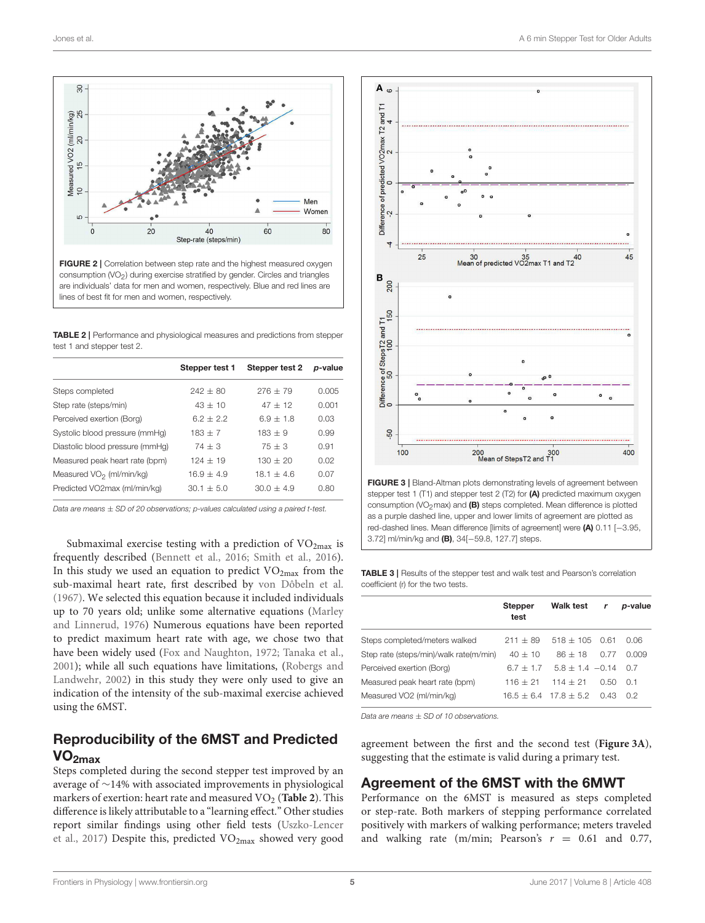

<span id="page-4-0"></span>

<span id="page-4-1"></span>TABLE 2 | Performance and physiological measures and predictions from stepper test 1 and stepper test 2.

|                                      | Stepper test 1 | Stepper test 2 | p-value |
|--------------------------------------|----------------|----------------|---------|
| Steps completed                      | $242 + 80$     | $276 + 79$     | 0.005   |
| Step rate (steps/min)                | $43 + 10$      | $47 + 12$      | 0.001   |
| Perceived exertion (Borg)            | $62 + 22$      | $6.9 + 1.8$    | 0.03    |
| Systolic blood pressure (mmHq)       | $183 + 7$      | $183 + 9$      | 0.99    |
| Diastolic blood pressure (mmHq)      | $74 + 3$       | $75 + 3$       | 0.91    |
| Measured peak heart rate (bpm)       | $124 + 19$     | $130 + 20$     | 0.02    |
| Measured VO <sub>2</sub> (ml/min/kg) | $16.9 + 4.9$   | $18.1 + 4.6$   | 0.07    |
| Predicted VO2max (ml/min/kg)         | $30.1 + 5.0$   | $30.0 + 4.9$   | 0.80    |

Data are means  $\pm$  SD of 20 observations; p-values calculated using a paired t-test.

Submaximal exercise testing with a prediction of  $VO<sub>2max</sub>$  is frequently described [\(Bennett et al., 2016;](#page-6-15) [Smith et al., 2016\)](#page-6-7). In this study we used an equation to predict  $VO<sub>2max</sub>$  from the sub-maximal heart rate, first described by [von Dôbeln et al.](#page-6-21) [\(1967\)](#page-6-21). We selected this equation because it included individuals up to 70 years old; unlike some alternative equations (Marley and Linnerud, [1976\)](#page-6-23) Numerous equations have been reported to predict maximum heart rate with age, we chose two that have been widely used [\(Fox and Naughton, 1972;](#page-6-19) [Tanaka et al.,](#page-6-20) [2001\)](#page-6-20); while all such equations have limitations, (Robergs and Landwehr, [2002\)](#page-6-24) in this study they were only used to give an indication of the intensity of the sub-maximal exercise achieved using the 6MST.

## Reproducibility of the 6MST and Predicted  $VO<sub>2max</sub>$

Steps completed during the second stepper test improved by an average of ∼14% with associated improvements in physiological markers of exertion: heart rate and measured VO<sub>2</sub> ([Table 2](#page-4-1)). This difference is likely attributable to a "learning effect." Other studies report similar findings using other field tests (Uszko-Lencer et al., [2017\)](#page-6-25) Despite this, predicted VO<sub>2max</sub> showed very good



<span id="page-4-2"></span>FIGURE 3 | Bland-Altman plots demonstrating levels of agreement between stepper test 1 (T1) and stepper test 2 (T2) for (A) predicted maximum oxygen consumption  $\langle\mathcal{O}_2$ max) and  $\langle\mathsf{B}\rangle$  steps completed. Mean difference is plotted as a purple dashed line, upper and lower limits of agreement are plotted as red-dashed lines. Mean difference [limits of agreement] were (A) 0.11 [-3.95, 3.72] ml/min/kg and (B), 34[−59.8, 127.7] steps.

<span id="page-4-3"></span>

| <b>TABLE 3</b>   Results of the stepper test and walk test and Pearson's correlation |
|--------------------------------------------------------------------------------------|
| coefficient (r) for the two tests.                                                   |

|                                        | <b>Stepper</b><br>test | Walk test                 | r    | p-value |
|----------------------------------------|------------------------|---------------------------|------|---------|
| Steps completed/meters walked          | $211 + 89$             | $518 + 105$               | 0.61 | 0.06    |
| Step rate (steps/min)/walk rate(m/min) | $40 + 10$              | $86 + 18$                 | O 77 | N 009   |
| Perceived exertion (Borg)              | $67 + 17$              | $5.8 \pm 1.4$ -0.14       |      | 0 7     |
| Measured peak heart rate (bpm)         | $116 + 21$             | $114 + 21$                | O 50 | O 1     |
| Measured VO2 (ml/min/kg)               |                        | $16.5 + 6.4$ $17.8 + 5.2$ | 0.43 | O 2     |

Data are means  $+$  SD of 10 observations.

agreement between the first and the second test (**[Figure 3A](#page-4-2)**), suggesting that the estimate is valid during a primary test.

#### Agreement of the 6MST with the 6MWT

Performance on the 6MST is measured as steps completed or step-rate. Both markers of stepping performance correlated positively with markers of walking performance; meters traveled and walking rate (m/min; Pearson's  $r = 0.61$  and 0.77,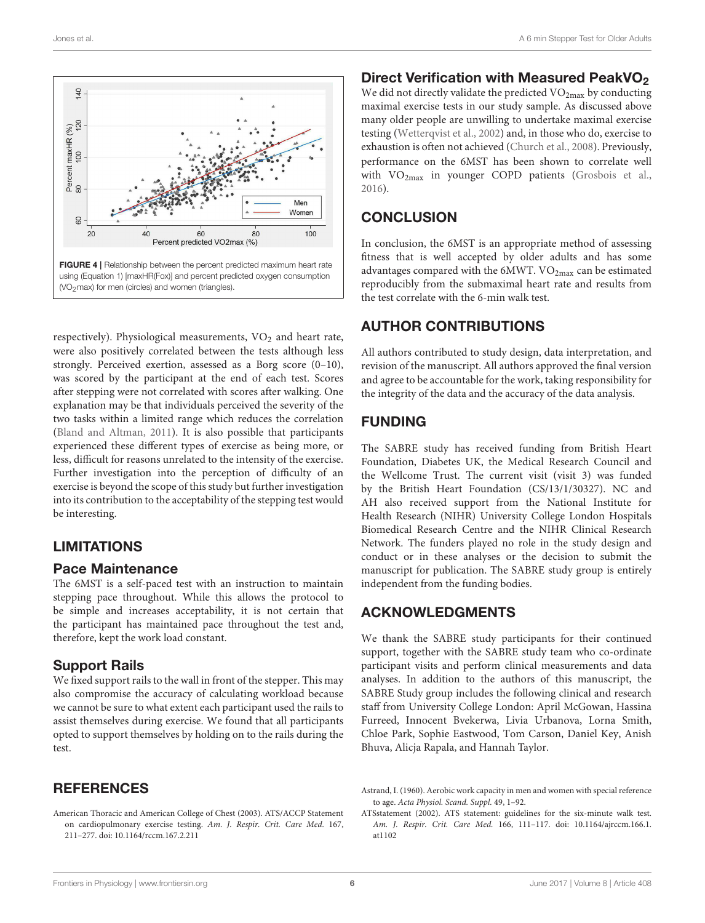

<span id="page-5-3"></span>respectively). Physiological measurements,  $VO<sub>2</sub>$  and heart rate, were also positively correlated between the tests although less strongly. Perceived exertion, assessed as a Borg score (0–10), was scored by the participant at the end of each test. Scores after stepping were not correlated with scores after walking. One explanation may be that individuals perceived the severity of the two tasks within a limited range which reduces the correlation [\(Bland and Altman, 2011\)](#page-6-26). It is also possible that participants experienced these different types of exercise as being more, or less, difficult for reasons unrelated to the intensity of the exercise. Further investigation into the perception of difficulty of an exercise is beyond the scope of this study but further investigation into its contribution to the acceptability of the stepping test would be interesting.

## LIMITATIONS

#### Pace Maintenance

The 6MST is a self-paced test with an instruction to maintain stepping pace throughout. While this allows the protocol to be simple and increases acceptability, it is not certain that the participant has maintained pace throughout the test and, therefore, kept the work load constant.

## Support Rails

We fixed support rails to the wall in front of the stepper. This may also compromise the accuracy of calculating workload because we cannot be sure to what extent each participant used the rails to assist themselves during exercise. We found that all participants opted to support themselves by holding on to the rails during the test.

## **REFERENCES**

<span id="page-5-1"></span>American Thoracic and American College of Chest (2003). ATS/ACCP Statement on cardiopulmonary exercise testing. Am. J. Respir. Crit. Care Med. 167, 211–277. doi: [10.1164/rccm.167.2.211](https://doi.org/10.1164/rccm.167.2.211)

## Direct Verification with Measured PeakVO<sub>2</sub>

We did not directly validate the predicted  $VO<sub>2max</sub>$  by conducting maximal exercise tests in our study sample. As discussed above many older people are unwilling to undertake maximal exercise testing [\(Wetterqvist et al., 2002\)](#page-6-2) and, in those who do, exercise to exhaustion is often not achieved [\(Church et al., 2008\)](#page-6-5). Previously, performance on the 6MST has been shown to correlate well with VO<sub>2max</sub> in younger COPD patients [\(Grosbois et al.,](#page-6-14) [2016\)](#page-6-14).

## **CONCLUSION**

In conclusion, the 6MST is an appropriate method of assessing fitness that is well accepted by older adults and has some advantages compared with the 6MWT. VO<sub>2max</sub> can be estimated reproducibly from the submaximal heart rate and results from the test correlate with the 6-min walk test.

## AUTHOR CONTRIBUTIONS

All authors contributed to study design, data interpretation, and revision of the manuscript. All authors approved the final version and agree to be accountable for the work, taking responsibility for the integrity of the data and the accuracy of the data analysis.

## FUNDING

The SABRE study has received funding from British Heart Foundation, Diabetes UK, the Medical Research Council and the Wellcome Trust. The current visit (visit 3) was funded by the British Heart Foundation (CS/13/1/30327). NC and AH also received support from the National Institute for Health Research (NIHR) University College London Hospitals Biomedical Research Centre and the NIHR Clinical Research Network. The funders played no role in the study design and conduct or in these analyses or the decision to submit the manuscript for publication. The SABRE study group is entirely independent from the funding bodies.

## ACKNOWLEDGMENTS

We thank the SABRE study participants for their continued support, together with the SABRE study team who co-ordinate participant visits and perform clinical measurements and data analyses. In addition to the authors of this manuscript, the SABRE Study group includes the following clinical and research staff from University College London: April McGowan, Hassina Furreed, Innocent Bvekerwa, Livia Urbanova, Lorna Smith, Chloe Park, Sophie Eastwood, Tom Carson, Daniel Key, Anish Bhuva, Alicja Rapala, and Hannah Taylor.

<span id="page-5-2"></span>Astrand, I. (1960). Aerobic work capacity in men and women with special reference to age. Acta Physiol. Scand. Suppl. 49, 1–92.

<span id="page-5-0"></span>ATSstatement (2002). ATS statement: guidelines for the six-minute walk test. Am. J. Respir. Crit. Care Med. [166, 111–117. doi: 10.1164/ajrccm.166.1.](https://doi.org/10.1164/ajrccm.166.1.at1102) at1102